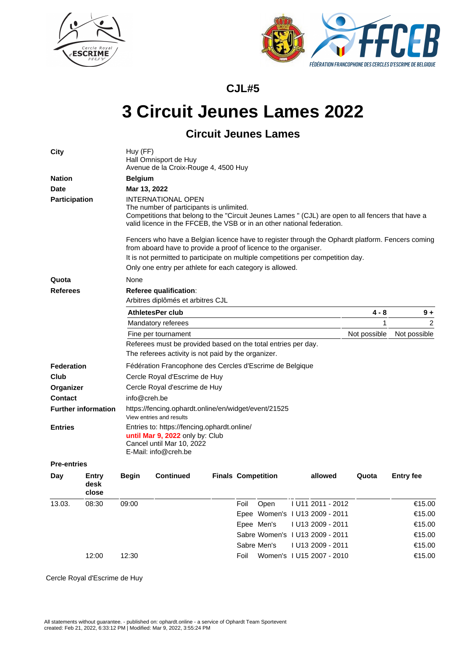



**CJL#5**

## **3 Circuit Jeunes Lames 2022**

## **Circuit Jeunes Lames**

| City                       |                        | Huy (FF)                                                                                                                                                                                                                                                                                                             | Hall Omnisport de Huy<br>Avenue de la Croix-Rouge 4, 4500 Huy |                           |      |             |  |                                 |              |                  |              |  |
|----------------------------|------------------------|----------------------------------------------------------------------------------------------------------------------------------------------------------------------------------------------------------------------------------------------------------------------------------------------------------------------|---------------------------------------------------------------|---------------------------|------|-------------|--|---------------------------------|--------------|------------------|--------------|--|
| <b>Nation</b>              |                        | <b>Belgium</b>                                                                                                                                                                                                                                                                                                       |                                                               |                           |      |             |  |                                 |              |                  |              |  |
| <b>Date</b>                |                        | Mar 13, 2022                                                                                                                                                                                                                                                                                                         |                                                               |                           |      |             |  |                                 |              |                  |              |  |
| <b>Participation</b>       |                        | <b>INTERNATIONAL OPEN</b><br>The number of participants is unlimited.<br>Competitions that belong to the "Circuit Jeunes Lames " (CJL) are open to all fencers that have a<br>valid licence in the FFCEB, the VSB or in an other national federation.                                                                |                                                               |                           |      |             |  |                                 |              |                  |              |  |
|                            |                        | Fencers who have a Belgian licence have to register through the Ophardt platform. Fencers coming<br>from aboard have to provide a proof of licence to the organiser.<br>It is not permitted to participate on multiple competitions per competition day.<br>Only one entry per athlete for each category is allowed. |                                                               |                           |      |             |  |                                 |              |                  |              |  |
| Quota                      |                        | None                                                                                                                                                                                                                                                                                                                 |                                                               |                           |      |             |  |                                 |              |                  |              |  |
| <b>Referees</b>            |                        | Referee qualification:                                                                                                                                                                                                                                                                                               |                                                               |                           |      |             |  |                                 |              |                  |              |  |
|                            |                        | Arbitres diplômés et arbitres CJL                                                                                                                                                                                                                                                                                    |                                                               |                           |      |             |  |                                 |              |                  |              |  |
|                            |                        | <b>AthletesPer club</b>                                                                                                                                                                                                                                                                                              |                                                               |                           |      |             |  |                                 | 4 - 8        |                  | $9+$         |  |
|                            |                        | Mandatory referees                                                                                                                                                                                                                                                                                                   |                                                               |                           |      |             |  |                                 | 2<br>1       |                  |              |  |
|                            |                        | Fine per tournament                                                                                                                                                                                                                                                                                                  |                                                               |                           |      |             |  |                                 | Not possible |                  | Not possible |  |
|                            |                        | Referees must be provided based on the total entries per day.                                                                                                                                                                                                                                                        |                                                               |                           |      |             |  |                                 |              |                  |              |  |
|                            |                        | The referees activity is not paid by the organizer.                                                                                                                                                                                                                                                                  |                                                               |                           |      |             |  |                                 |              |                  |              |  |
| Federation                 |                        | Fédération Francophone des Cercles d'Escrime de Belgique                                                                                                                                                                                                                                                             |                                                               |                           |      |             |  |                                 |              |                  |              |  |
| Club                       |                        | Cercle Royal d'Escrime de Huy                                                                                                                                                                                                                                                                                        |                                                               |                           |      |             |  |                                 |              |                  |              |  |
| Organizer                  |                        | Cercle Royal d'escrime de Huy                                                                                                                                                                                                                                                                                        |                                                               |                           |      |             |  |                                 |              |                  |              |  |
| <b>Contact</b>             |                        | info@creh.be                                                                                                                                                                                                                                                                                                         |                                                               |                           |      |             |  |                                 |              |                  |              |  |
| <b>Further information</b> |                        | https://fencing.ophardt.online/en/widget/event/21525<br>View entries and results                                                                                                                                                                                                                                     |                                                               |                           |      |             |  |                                 |              |                  |              |  |
| <b>Entries</b>             |                        | Entries to: https://fencing.ophardt.online/<br>until Mar 9, 2022 only by: Club<br>Cancel until Mar 10, 2022<br>E-Mail: info@creh.be                                                                                                                                                                                  |                                                               |                           |      |             |  |                                 |              |                  |              |  |
| <b>Pre-entries</b>         |                        |                                                                                                                                                                                                                                                                                                                      |                                                               |                           |      |             |  |                                 |              |                  |              |  |
| Day                        | Entry<br>desk<br>close | <b>Begin</b>                                                                                                                                                                                                                                                                                                         | <b>Continued</b>                                              | <b>Finals Competition</b> |      |             |  | allowed                         | Quota        | <b>Entry fee</b> |              |  |
| 13.03.                     | 08:30                  | 09:00                                                                                                                                                                                                                                                                                                                |                                                               |                           | Foil | Open        |  | I U11 2011 - 2012               |              |                  | €15.00       |  |
|                            |                        |                                                                                                                                                                                                                                                                                                                      |                                                               |                           |      |             |  | Epee Women's I U13 2009 - 2011  |              |                  | €15.00       |  |
|                            |                        |                                                                                                                                                                                                                                                                                                                      |                                                               |                           |      | Epee Men's  |  | I U13 2009 - 2011               |              |                  | €15.00       |  |
|                            |                        |                                                                                                                                                                                                                                                                                                                      |                                                               |                           |      |             |  | Sabre Women's   U13 2009 - 2011 |              |                  | €15.00       |  |
|                            |                        |                                                                                                                                                                                                                                                                                                                      |                                                               |                           |      | Sabre Men's |  | I U13 2009 - 2011               |              |                  | €15.00       |  |
|                            | 12:00                  | 12:30                                                                                                                                                                                                                                                                                                                |                                                               |                           | Foil |             |  | Women's 1 U15 2007 - 2010       |              |                  | €15.00       |  |

Cercle Royal d'Escrime de Huy